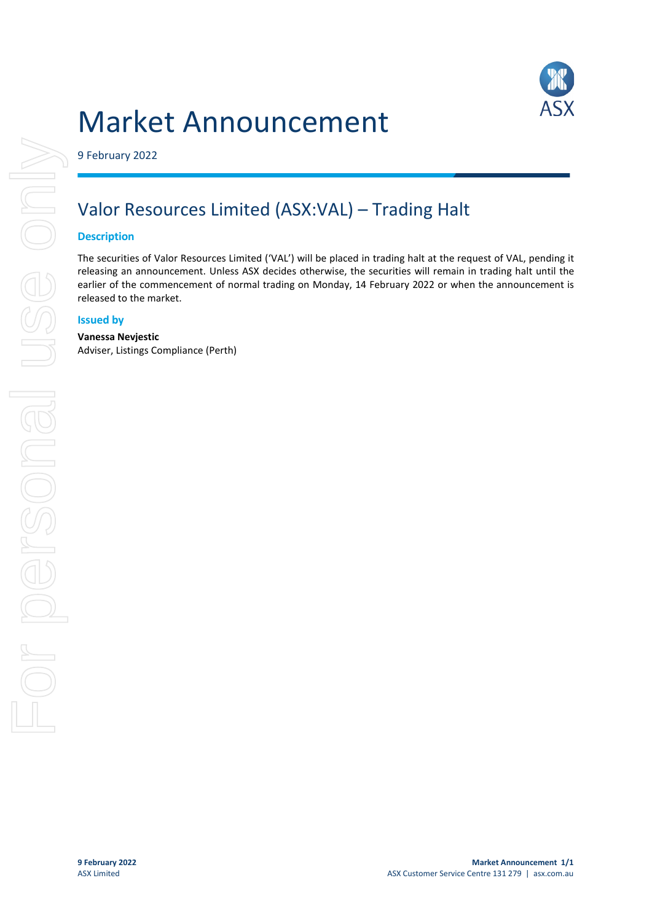# Market Announcement



9 February 2022

## Valor Resources Limited (ASX:VAL) – Trading Halt

### **Description**

The securities of Valor Resources Limited ('VAL') will be placed in trading halt at the request of VAL, pending it releasing an announcement. Unless ASX decides otherwise, the securities will remain in trading halt until the earlier of the commencement of normal trading on Monday, 14 February 2022 or when the announcement is released to the market.

#### **Issued by**

#### **Vanessa Nevjestic**

Adviser, Listings Compliance (Perth)